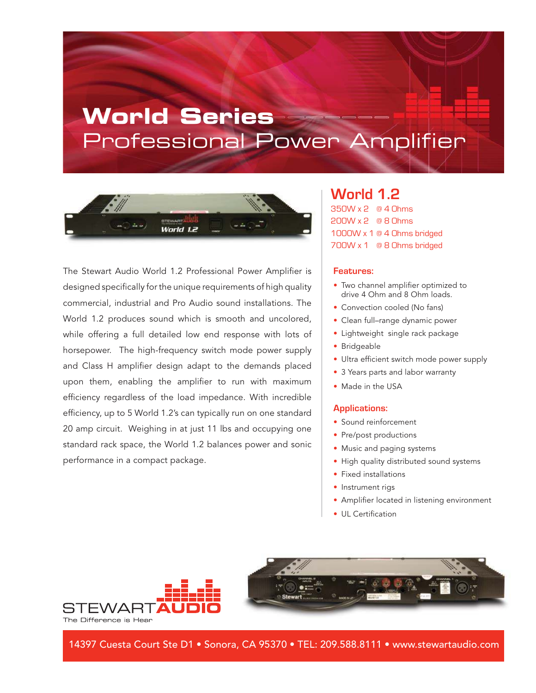# **World Series** Professional Power Amplifier



The Stewart Audio World 1.2 Professional Power Amplifier is designed specifically for the unique requirements of high quality commercial, industrial and Pro Audio sound installations. The World 1.2 produces sound which is smooth and uncolored, while offering a full detailed low end response with lots of horsepower. The high-frequency switch mode power supply and Class H amplifier design adapt to the demands placed upon them, enabling the amplifier to run with maximum efficiency regardless of the load impedance. With incredible efficiency, up to 5 World 1.2's can typically run on one standard 20 amp circuit. Weighing in at just 11 lbs and occupying one standard rack space, the World 1.2 balances power and sonic performance in a compact package.

### **World 1.2**

350W x 2 @ 4 Ohms 200W x 2 @ 8 Ohms 1000W x 1 @ 4 Ohms bridged 700W x 1 @ 8 Ohms bridged

#### **Features:**

- Two channel amplifier optimized to drive 4 Ohm and 8 Ohm loads.
- Convection cooled (No fans)
- Clean full–range dynamic power
- Lightweight single rack package
- Bridgeable
- Ultra efficient switch mode power supply
- 3 Years parts and labor warranty
- Made in the USA

#### **Applications:**

- Sound reinforcement
- Pre/post productions
- Music and paging systems
- High quality distributed sound systems
- Fixed installations
- Instrument rigs
- Amplifier located in listening environment
- III Certification